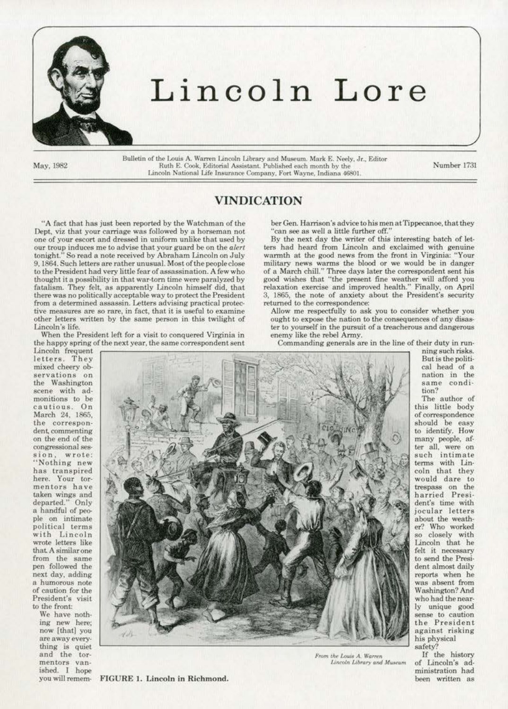

# Lincoln Lore

May. 1982

Bulletin of the Louis A. Warren Lincoln Library and Museum, Mark E. Neely, Jr., Editor Ruth E. Cook, Editorial Assistant. Published each month by the Number 1731 Lincoln National Life Insurance Company, Fort Wayne, Indiana 46801.

## VINDICATION

"A fact that has just been reported by the Watchman of the Dept, viz that your carriage was followed by a horseman not one of your escort and dressed in uniform unlike that used by our troup induces me to advise that your guard be on the *alert*  tonight." So read a note received by Abraham Lincoln on July 9. 1864. Such letters are rather unusual. Most of the people close to the President had very little fear of assassination. A few who thought ita possibility in that war·tom time were paralyzed by fatalism. They fell. as apparently Lincoln himself did. that there was no politically acceptable way to protect the President from a determined assassin. Letters advising practical protec· tive measures are so rare, in fact, that it is useful to examine other letters written by the same person in this twilight of Lincoln's life.

When the President left for a visil to conquered Virginia in the happy spring of the next year, the same correspondent sent

Lincoln frequent letters. They mixed cheery ob· the Washington scene with admonitions to be ca utious. On March 24. 1865. the correspon· dent, commenting on the end of the congressional session, wrote: "'Nothing new has transpired here. Your tor· mentors have taken wings and departed." Only a handful of people on intimate political terms with Lincoln wrote letters like that A similar one<br>from the same pen followed the next day. adding a humorous note of caution for the President's visit to the front:

We have noth· ing new here; now [that] you are away every· thing is quiet and the tor-<br>mentors vanished. I hope<br>you will remem-



*From the Louis A. Warren* If the history<br>*Lincoln Library and Museum* of Lincoln's ad-Lincoln Library and Museum

ber Gen. Harrison's advice to his men at Tippecanoe, that they 'can see as well a little further off.'

By the next day the writer of this interesting batch of letters had beard from Lincoln and exclaimed with genuine wannth at the good news from the front in Virginia: "Your military news warms the blood or we would be in danger of a March chill." Three days later the correspondent sent his good wishes that "the present fine weather will afford you relaxation exercise and improved health." Finally, on April 3, 1865, the note of anxiety about the President's security returned to the correspondence:

Allow me respectfully to ask you to consider whether you ought to expose the nation to the consequences of any disaster to yourself in the pursuit of a treacherous and dangerous enemy like the rebel Army.

Commanding generals are in the line of their duty in run·

ning such risks. But is the politi· cal head of a nation in the same condi· tion?

The author of this little body of correspondence should be easy to identify. How many people. af· ter all, were on such intimate terms with Lincoln that they would dare to trespass on the harried Presi· dent's time with jocular letters about the weath-<br>er? Who worked so closely with Lincoln that he felt it necessary to send the Presi· dent almost daily reports when he was absent from Washington? And who had the near-<br>ly unique good sense to caution the President against risking his physical safety?

ministration had been written as

FIGURE 1. Lincoln in Richmond.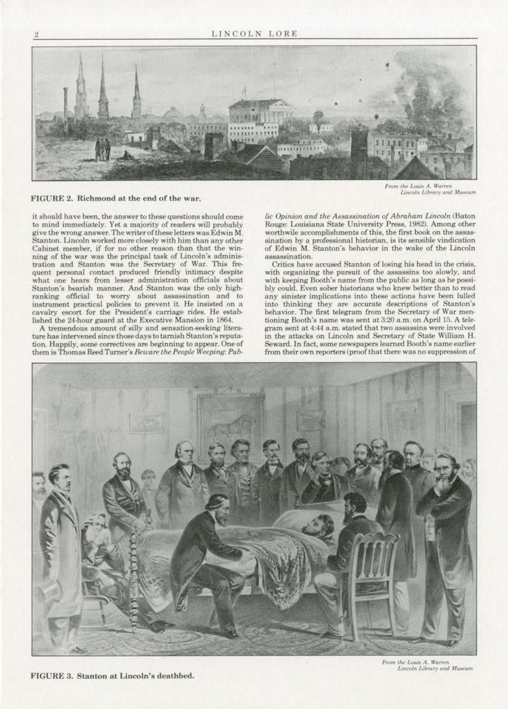

### FIGURE 2. Richmond at the end of the war.

it should have been, the answer to these questions should come to mind immediately. Yet a majority of readers will probably give the wrong answer. The writer of these letters was Edwin M. Stanton. Lincoln worked more closely with him than any other Cabinet member, if for no other reason than that the win· ning of the war was the principal task of Lincoln's adminis· tration and Stanton was the Secretary of War. This frequent personal contact produced friendly intimacy despite what one hears from lesser administration officials about Stanton's bearish manner. And Stanton was the only highranking official to worry about assassination and to instrument practical policies to prevent it. He insisted on a cavalry escort for the President's carriage rides. He established the 24-hour guard at the Executive Mansion in 1864.

A tremendous amount of silly and sensation-seeking literature has intervened since those days to tarnish Stanton's reputation. Happily, some correctives are beginning to appear. One of them is Thomas Reed Turner's *Beware the People Weeping: Pub-*

From the Louis A. Warren<br>Lincoln Library and Museum

*lic Opinion and the Assassination of Abraham Lincoln* (Baton Rouge: Louisiana State University Press. 1982). Among other worthwile accomplishments of this, the first book on the assassination by a professional historian, is its sensible vindication of Edwin M. Stanton's behavior in the wake of the Lincoln assassination.

Critics have accused Stanton of losing his head in the crisis, with organizing the pursuit of the assassins too slowly. and with keeping Booth's name from the public as long as he possibly could. Even sober historians who knew better than to read any sinister implications into these actions have been lulled into thinking they are accurate descriptions of Stanton's behavior. The first telegram from the Secretary of War men· tioning Booth's name was sent at 3:20 a.m. on April 15. A telegram sent at 4:44 a.m. stated that two assassins were involved in the attacks on Lincoln and Secretary of State William H. Seward. In fact, some newspapers learned Booth's name earlier from their own reporters (proof that there was no suppression of



FIGURE 3. Stanton at Lincoln's deathbed.

From the Louis A. Warren Lincoln Library and Museum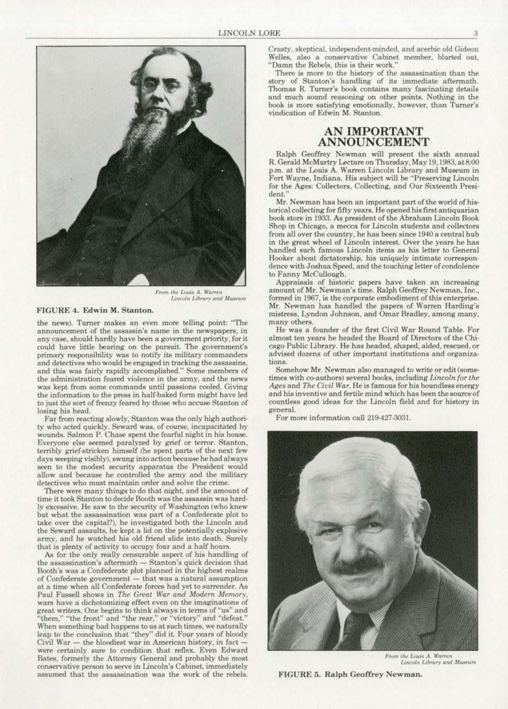

From the Louis A. Warren<br>Lincoln Library and Museum

### FIGURE 4. Edwin M. Stanton.

the news). Turner makes an even more telling point: "The announcement of the assassin's name in the newspapers, in any case, should hardly have been a government priority, for it could have little bearing on the pursuit. The government's primary responsibility was to notify its military commanders and detectives who would be engaged in tracking the assassins, and this was fairly rapidly accomplished." Some members of the administration feared violence in the army, and the news was kept from some commands until passions cooled. Giving the information to the press in half-baked form might have led to just the sort of frenzy feared by those who accuse Stanton of losing his head.

Far from reacting slowly, Stanton was the only high authority who acted quickly. Seward was, of course, incapacitated by wounds. Salmon P. Chase spent the fearful night in his house. Everyone else seemed paralyzed by grief or terror. Stanton, terribly grief-stricken himself (he spent parts of the next few days weeping visibly), swung into action because he had always seen to the modest security apparatus the President would allow and because he controlled the army and the military detectives who must maintain order and solve the crime.

There were many things to do that night, and the amount of time it took Stanton to decide Booth was the assassin was hardly excessive. He saw to the security of Washington (who knew but what the assassination was part of a Confederate plot to take over the capital?), he investigated both the Lincoln and the Seward assaults, he kept a lid on the potentially explosive army, and he watched his old friend slide into death. Surely that is plenty of activity to occupy four and a half hours.

As for the only really censurable aspect of his handling of the assassination's aftermath - Stanton's quick decision that Booth's was a Confederate plot planned in the highest realms of Confederate government - that was a natural assumption at a time when all Confederate forces had yet to surrender. As Paul Fussell shows in The Great War and Modern Memory. wars have a dichotomizing effect even on the imaginations of great writers. One begins to think always in terms of "us" and "them," "the front" and "the rear," or "victory" and "defeat." When something bad happens to us at such times, we naturally leap to the conclusion that "they" did it. Four years of bloody Civil War  $-$  the bloodiest war in American history, in fact  $$ were certainly sure to condition that reflex. Even Edward Bates, formerly the Attorney General and probably the most conservative person to serve in Lincoln's Cabinet, immediately assumed that the assassination was the work of the rebels.

Crusty, skeptical, independent-minded, and acerbic old Gideon Welles, also a conservative Cabinet member, blurted out, "Damn the Rebels, this is their work."

There is more to the history of the assassination than the story of Stanton's handling of its immediate aftermath. Thomas R. Turner's book contains many fascinating details and much sound reasoning on other points. Nothing in the book is more satisfying emotionally, however, than Turner's vindication of Edwin M. Stanton.

### **AN IMPORTANT** ANNOUNCEMENT

Ralph Geoffrey Newman will present the sixth annual R. Gerald McMurtry Lecture on Thursday, May 19, 1983, at 8:00 p.m. at the Louis A. Warren Lincoln Library and Museum in Fort Wayne, Indiana. His subject will be "Preserving Lincoln for the Ages: Collectors, Collecting, and Our Sixteenth President.'

Mr. Newman has been an important part of the world of historical collecting for fifty years. He opened his first antiquarian book store in 1933. As president of the Abraham Lincoln Book Shop in Chicago, a mecca for Lincoln students and collectors from all over the country, he has been since 1940 a central hub in the great wheel of Lincoln interest. Over the years he has handled such famous Lincoln items as his letter to General Hooker about dictatorship, his uniquely intimate correspondence with Joshua Speed, and the touching letter of condolence to Fanny McCullough.

Appraisals of historic papers have taken an increasing amount of Mr. Newman's time. Ralph Geoffrey Newman, Inc., formed in 1967, is the corporate embodiment of this enterprise. Mr. Newman has handled the papers of Warren Harding's mistress, Lyndon Johnson, and Omar Bradley, among many, many others

He was a founder of the first Civil War Round Table. For almost ten years he headed the Board of Directors of the Chicago Public Library. He has headed, shaped, aided, rescued, or advised dozens of other important institutions and organizations

Somehow Mr. Newman also managed to write or edit (sometimes with co-authors) several books, including Lincoln for the Ages and The Civil War. He is famous for his boundless energy and his inventive and fertile mind which has been the source of countless good ideas for the Lincoln field and for history in general.

For more information call 219-427-3031.



From the Louis A. Warren Lincoln Library and Museum

FIGURE 5. Ralph Geoffrey Newman.